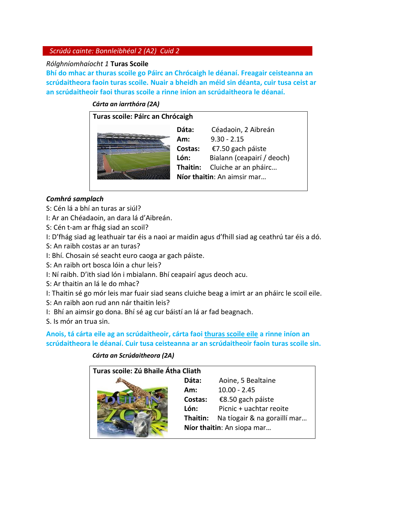# *Scrúdú cainte: Bonnleibhéal 2 (A2) Cuid 2*

### *Rólghníomhaíocht 1* **Turas Scoile**

**Bhí do mhac ar thuras scoile go Páirc an Chrócaigh le déanaí. Freagair ceisteanna an scrúdaitheora faoin turas scoile. Nuair a bheidh an méid sin déanta, cuir tusa ceist ar an scrúdaitheoir faoi thuras scoile a rinne iníon an scrúdaitheora le déanaí.** 

### *Cárta an iarrthóra (2A)*

#### **Turas scoile: Páirc an Chrócaigh**



**Dáta:** Céadaoin, 2 Aibreán **Am:** 9.30 - 2.15 **Costas:** €7.50 gach páiste **Lón:** Bialann (ceapairí / deoch) **Thaitin:** Cluiche ar an pháirc… **Níor thaitin**: An aimsir mar…

### *Comhrá samplach*

- S: Cén lá a bhí an turas ar siúl?
- I: Ar an Chéadaoin, an dara lá d'Aibreán.
- S: Cén t-am ar fhág siad an scoil?
- I: D'fhág siad ag leathuair tar éis a naoi ar maidin agus d'fhill siad ag ceathrú tar éis a dó.
- S: An raibh costas ar an turas?
- I: Bhí. Chosain sé seacht euro caoga ar gach páiste.
- S: An raibh ort bosca lóin a chur leis?
- I: Ní raibh. D'ith siad lón i mbialann. Bhí ceapairí agus deoch acu.
- S: Ar thaitin an lá le do mhac?
- I: Thaitin sé go mór leis mar fuair siad seans cluiche beag a imirt ar an pháirc le scoil eile.
- S: An raibh aon rud ann nár thaitin leis?
- I: Bhí an aimsir go dona. Bhí sé ag cur báistí an lá ar fad beagnach.
- S. Is mór an trua sin.

**Anois, tá cárta eile ag an scrúdaitheoir, cárta faoi thuras scoile eile a rinne iníon an scrúdaitheora le déanaí. Cuir tusa ceisteanna ar an scrúdaitheoir faoin turas scoile sin.** 

### *Cárta an Scrúdaitheora (2A)*